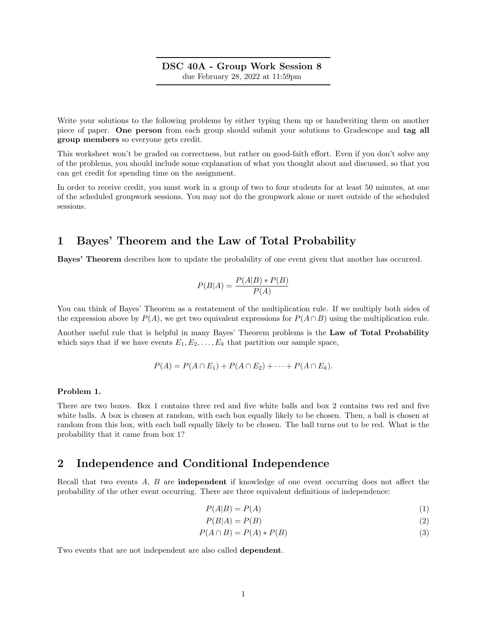### DSC 40A - Group Work Session 8 due February 28, 2022 at 11:59pm

Write your solutions to the following problems by either typing them up or handwriting them on another piece of paper. One person from each group should submit your solutions to Gradescope and tag all group members so everyone gets credit.

This worksheet won't be graded on correctness, but rather on good-faith effort. Even if you don't solve any of the problems, you should include some explanation of what you thought about and discussed, so that you can get credit for spending time on the assignment.

In order to receive credit, you must work in a group of two to four students for at least 50 minutes, at one of the scheduled groupwork sessions. You may not do the groupwork alone or meet outside of the scheduled sessions.

# 1 Bayes' Theorem and the Law of Total Probability

Bayes' Theorem describes how to update the probability of one event given that another has occurred.

$$
P(B|A) = \frac{P(A|B) * P(B)}{P(A)}
$$

You can think of Bayes' Theorem as a restatement of the multiplication rule. If we multiply both sides of the expression above by  $P(A)$ , we get two equivalent expressions for  $P(A \cap B)$  using the multiplication rule.

Another useful rule that is helpful in many Bayes' Theorem problems is the Law of Total Probability which says that if we have events  $E_1, E_2, \ldots, E_k$  that partition our sample space,

$$
P(A) = P(A \cap E_1) + P(A \cap E_2) + \cdots + P(A \cap E_k).
$$

### Problem 1.

There are two boxes. Box 1 contains three red and five white balls and box 2 contains two red and five white balls. A box is chosen at random, with each box equally likely to be chosen. Then, a ball is chosen at random from this box, with each ball equally likely to be chosen. The ball turns out to be red. What is the probability that it came from box 1?

## 2 Independence and Conditional Independence

Recall that two events A, B are independent if knowledge of one event occurring does not affect the probability of the other event occurring. There are three equivalent definitions of independence:

$$
P(A|B) = P(A) \tag{1}
$$

$$
P(B|A) = P(B) \tag{2}
$$

$$
P(A \cap B) = P(A) * P(B)
$$
\n<sup>(3)</sup>

Two events that are not independent are also called dependent.